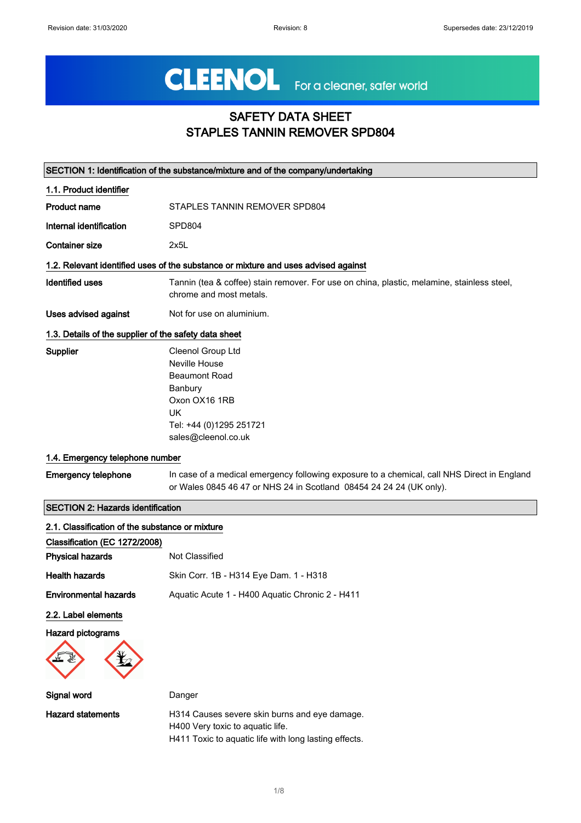# CLEENOL For a cleaner, safer world

## SAFETY DATA SHEET STAPLES TANNIN REMOVER SPD804

| SECTION 1: Identification of the substance/mixture and of the company/undertaking |                                                                                                                                                                    |  |
|-----------------------------------------------------------------------------------|--------------------------------------------------------------------------------------------------------------------------------------------------------------------|--|
| 1.1. Product identifier                                                           |                                                                                                                                                                    |  |
| <b>Product name</b>                                                               | STAPLES TANNIN REMOVER SPD804                                                                                                                                      |  |
| Internal identification                                                           | SPD804                                                                                                                                                             |  |
| <b>Container size</b>                                                             | 2x5L                                                                                                                                                               |  |
|                                                                                   | 1.2. Relevant identified uses of the substance or mixture and uses advised against                                                                                 |  |
| <b>Identified uses</b>                                                            | Tannin (tea & coffee) stain remover. For use on china, plastic, melamine, stainless steel,<br>chrome and most metals.                                              |  |
| <b>Uses advised against</b>                                                       | Not for use on aluminium.                                                                                                                                          |  |
| 1.3. Details of the supplier of the safety data sheet                             |                                                                                                                                                                    |  |
| Supplier                                                                          | Cleenol Group Ltd<br>Neville House<br><b>Beaumont Road</b><br>Banbury<br>Oxon OX16 1RB<br><b>UK</b><br>Tel: +44 (0)1295 251721<br>sales@cleenol.co.uk              |  |
| 1.4. Emergency telephone number                                                   |                                                                                                                                                                    |  |
| <b>Emergency telephone</b>                                                        | In case of a medical emergency following exposure to a chemical, call NHS Direct in England<br>or Wales 0845 46 47 or NHS 24 in Scotland 08454 24 24 24 (UK only). |  |
| <b>SECTION 2: Hazards identification</b>                                          |                                                                                                                                                                    |  |
| 2.1. Classification of the substance or mixture                                   |                                                                                                                                                                    |  |
| Classification (EC 1272/2008)                                                     |                                                                                                                                                                    |  |
| <b>Physical hazards</b>                                                           | <b>Not Classified</b>                                                                                                                                              |  |
| <b>Health hazards</b>                                                             | Skin Corr. 1B - H314 Eye Dam. 1 - H318                                                                                                                             |  |
| <b>Environmental hazards</b>                                                      | Aquatic Acute 1 - H400 Aquatic Chronic 2 - H411                                                                                                                    |  |
| 2.2. Label elements<br><b>Hazard pictograms</b>                                   |                                                                                                                                                                    |  |
| Signal word                                                                       | Danger                                                                                                                                                             |  |
| <b>Hazard statements</b>                                                          | H314 Causes severe skin burns and eye damage.<br>H400 Very toxic to aquatic life.<br>H411 Toxic to aquatic life with long lasting effects.                         |  |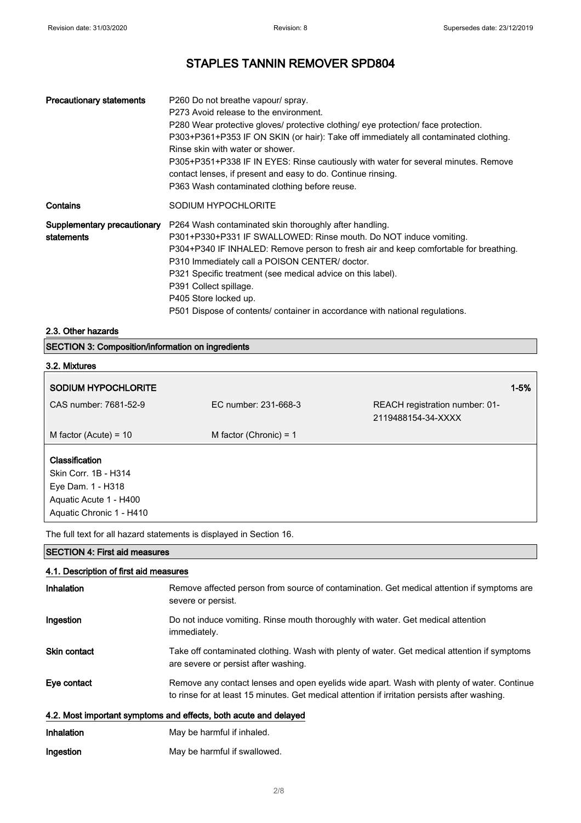| <b>Precautionary statements</b>           | P260 Do not breathe vapour/ spray.<br>P273 Avoid release to the environment.<br>P280 Wear protective gloves/ protective clothing/ eye protection/ face protection.<br>P303+P361+P353 IF ON SKIN (or hair): Take off immediately all contaminated clothing.<br>Rinse skin with water or shower.<br>P305+P351+P338 IF IN EYES: Rinse cautiously with water for several minutes. Remove<br>contact lenses, if present and easy to do. Continue rinsing.<br>P363 Wash contaminated clothing before reuse. |
|-------------------------------------------|-------------------------------------------------------------------------------------------------------------------------------------------------------------------------------------------------------------------------------------------------------------------------------------------------------------------------------------------------------------------------------------------------------------------------------------------------------------------------------------------------------|
| Contains                                  | SODIUM HYPOCHLORITE                                                                                                                                                                                                                                                                                                                                                                                                                                                                                   |
| Supplementary precautionary<br>statements | P264 Wash contaminated skin thoroughly after handling.<br>P301+P330+P331 IF SWALLOWED: Rinse mouth. Do NOT induce vomiting.<br>P304+P340 IF INHALED: Remove person to fresh air and keep comfortable for breathing.<br>P310 Immediately call a POISON CENTER/ doctor.<br>P321 Specific treatment (see medical advice on this label).<br>P391 Collect spillage.<br>P405 Store locked up.<br>P501 Dispose of contents/ container in accordance with national regulations.                               |

#### 2.3. Other hazards

| <b>SECTION 3: Composition/information on ingredients</b> |  |
|----------------------------------------------------------|--|
|----------------------------------------------------------|--|

#### 3.2. Mixtures

| <b>SODIUM HYPOCHLORITE</b>                                                                                        |                          |                                                      | $1 - 5%$ |
|-------------------------------------------------------------------------------------------------------------------|--------------------------|------------------------------------------------------|----------|
| CAS number: 7681-52-9                                                                                             | EC number: 231-668-3     | REACH registration number: 01-<br>2119488154-34-XXXX |          |
| M factor (Acute) = $10$                                                                                           | M factor (Chronic) = $1$ |                                                      |          |
| Classification<br>Skin Corr. 1B - H314<br>Eye Dam. 1 - H318<br>Aquatic Acute 1 - H400<br>Aquatic Chronic 1 - H410 |                          |                                                      |          |

The full text for all hazard statements is displayed in Section 16.

#### SECTION 4: First aid measures

#### 4.1. Description of first aid measures

| Inhalation          | Remove affected person from source of contamination. Get medical attention if symptoms are<br>severe or persist.                                                                            |
|---------------------|---------------------------------------------------------------------------------------------------------------------------------------------------------------------------------------------|
| Ingestion           | Do not induce vomiting. Rinse mouth thoroughly with water. Get medical attention<br>immediately.                                                                                            |
| <b>Skin contact</b> | Take off contaminated clothing. Wash with plenty of water. Get medical attention if symptoms<br>are severe or persist after washing.                                                        |
| Eye contact         | Remove any contact lenses and open eyelids wide apart. Wash with plenty of water. Continue<br>to rinse for at least 15 minutes. Get medical attention if irritation persists after washing. |
|                     | 4.2. Most important symptoms and effects, both acute and delayed                                                                                                                            |
| Inhalation          | May be harmful if inhaled.                                                                                                                                                                  |

| Ingestion | May be harmful if swallowed. |
|-----------|------------------------------|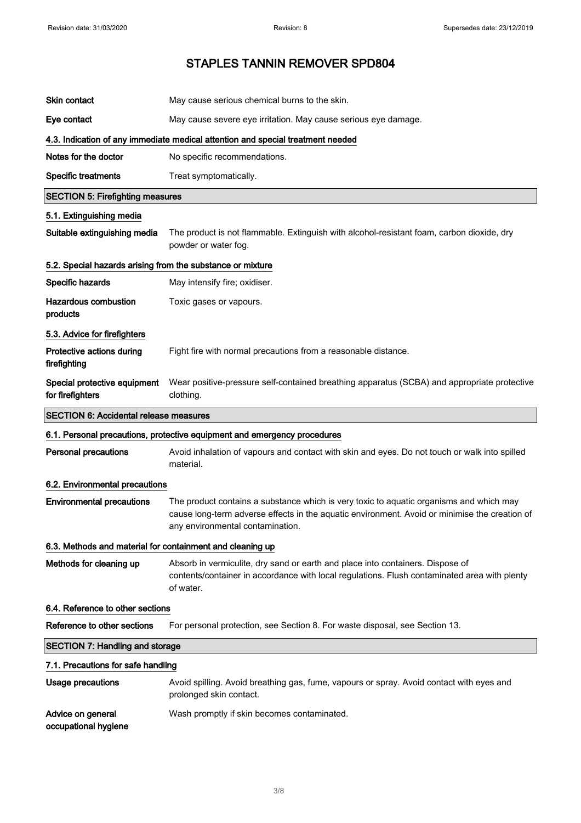| <b>Skin contact</b>                                        | May cause serious chemical burns to the skin.                                                                                                                                                                                |
|------------------------------------------------------------|------------------------------------------------------------------------------------------------------------------------------------------------------------------------------------------------------------------------------|
| Eye contact                                                | May cause severe eye irritation. May cause serious eye damage.                                                                                                                                                               |
|                                                            | 4.3. Indication of any immediate medical attention and special treatment needed                                                                                                                                              |
| Notes for the doctor                                       | No specific recommendations.                                                                                                                                                                                                 |
| <b>Specific treatments</b>                                 | Treat symptomatically.                                                                                                                                                                                                       |
| <b>SECTION 5: Firefighting measures</b>                    |                                                                                                                                                                                                                              |
| 5.1. Extinguishing media                                   |                                                                                                                                                                                                                              |
| Suitable extinguishing media                               | The product is not flammable. Extinguish with alcohol-resistant foam, carbon dioxide, dry<br>powder or water fog.                                                                                                            |
| 5.2. Special hazards arising from the substance or mixture |                                                                                                                                                                                                                              |
| Specific hazards                                           | May intensify fire; oxidiser.                                                                                                                                                                                                |
| <b>Hazardous combustion</b><br>products                    | Toxic gases or vapours.                                                                                                                                                                                                      |
| 5.3. Advice for firefighters                               |                                                                                                                                                                                                                              |
| Protective actions during<br>firefighting                  | Fight fire with normal precautions from a reasonable distance.                                                                                                                                                               |
| Special protective equipment<br>for firefighters           | Wear positive-pressure self-contained breathing apparatus (SCBA) and appropriate protective<br>clothing.                                                                                                                     |
| <b>SECTION 6: Accidental release measures</b>              |                                                                                                                                                                                                                              |
|                                                            | 6.1. Personal precautions, protective equipment and emergency procedures                                                                                                                                                     |
| <b>Personal precautions</b>                                | Avoid inhalation of vapours and contact with skin and eyes. Do not touch or walk into spilled<br>material.                                                                                                                   |
| 6.2. Environmental precautions                             |                                                                                                                                                                                                                              |
| <b>Environmental precautions</b>                           | The product contains a substance which is very toxic to aquatic organisms and which may<br>cause long-term adverse effects in the aquatic environment. Avoid or minimise the creation of<br>any environmental contamination. |
| 6.3. Methods and material for containment and cleaning up  |                                                                                                                                                                                                                              |
| Methods for cleaning up                                    | Absorb in vermiculite, dry sand or earth and place into containers. Dispose of<br>contents/container in accordance with local regulations. Flush contaminated area with plenty<br>of water.                                  |
| 6.4. Reference to other sections                           |                                                                                                                                                                                                                              |
| Reference to other sections                                | For personal protection, see Section 8. For waste disposal, see Section 13.                                                                                                                                                  |
| <b>SECTION 7: Handling and storage</b>                     |                                                                                                                                                                                                                              |
| 7.1. Precautions for safe handling                         |                                                                                                                                                                                                                              |
| <b>Usage precautions</b>                                   | Avoid spilling. Avoid breathing gas, fume, vapours or spray. Avoid contact with eyes and<br>prolonged skin contact.                                                                                                          |
| Advice on general<br>occupational hygiene                  | Wash promptly if skin becomes contaminated.                                                                                                                                                                                  |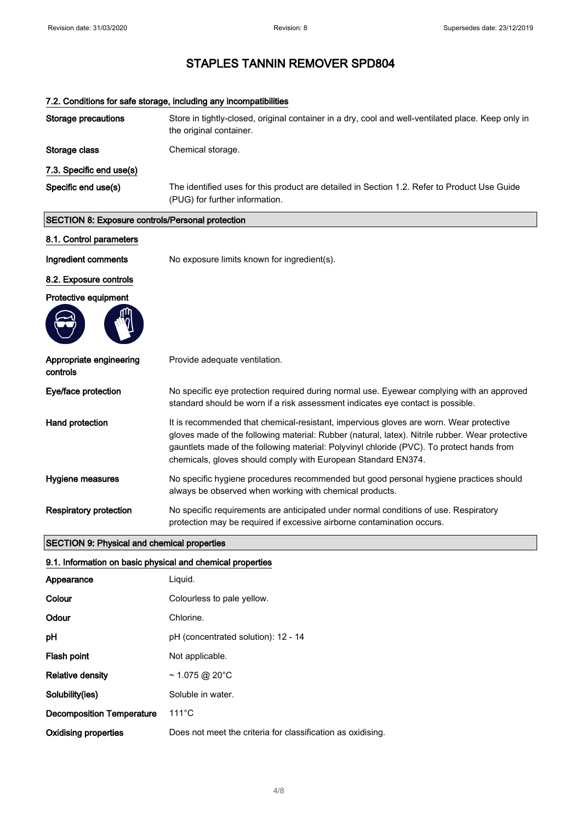| 7.2. Conditions for safe storage, including any incompatibilities |                                                                                                                                                                                                                                                                                                                                                         |  |
|-------------------------------------------------------------------|---------------------------------------------------------------------------------------------------------------------------------------------------------------------------------------------------------------------------------------------------------------------------------------------------------------------------------------------------------|--|
| <b>Storage precautions</b>                                        | Store in tightly-closed, original container in a dry, cool and well-ventilated place. Keep only in<br>the original container.                                                                                                                                                                                                                           |  |
| Storage class                                                     | Chemical storage.                                                                                                                                                                                                                                                                                                                                       |  |
| 7.3. Specific end use(s)                                          |                                                                                                                                                                                                                                                                                                                                                         |  |
| Specific end use(s)                                               | The identified uses for this product are detailed in Section 1.2. Refer to Product Use Guide<br>(PUG) for further information.                                                                                                                                                                                                                          |  |
| SECTION 8: Exposure controls/Personal protection                  |                                                                                                                                                                                                                                                                                                                                                         |  |
| 8.1. Control parameters                                           |                                                                                                                                                                                                                                                                                                                                                         |  |
| Ingredient comments                                               | No exposure limits known for ingredient(s).                                                                                                                                                                                                                                                                                                             |  |
| 8.2. Exposure controls                                            |                                                                                                                                                                                                                                                                                                                                                         |  |
| Protective equipment                                              |                                                                                                                                                                                                                                                                                                                                                         |  |
|                                                                   |                                                                                                                                                                                                                                                                                                                                                         |  |
| Appropriate engineering<br>controls                               | Provide adequate ventilation.                                                                                                                                                                                                                                                                                                                           |  |
| Eye/face protection                                               | No specific eye protection required during normal use. Eyewear complying with an approved<br>standard should be worn if a risk assessment indicates eye contact is possible.                                                                                                                                                                            |  |
| Hand protection                                                   | It is recommended that chemical-resistant, impervious gloves are worn. Wear protective<br>gloves made of the following material: Rubber (natural, latex). Nitrile rubber. Wear protective<br>gauntlets made of the following material: Polyvinyl chloride (PVC). To protect hands from<br>chemicals, gloves should comply with European Standard EN374. |  |
| Hygiene measures                                                  | No specific hygiene procedures recommended but good personal hygiene practices should<br>always be observed when working with chemical products.                                                                                                                                                                                                        |  |
| <b>Respiratory protection</b>                                     | No specific requirements are anticipated under normal conditions of use. Respiratory<br>protection may be required if excessive airborne contamination occurs.                                                                                                                                                                                          |  |
| <b>SECTION 9: Physical and chemical properties</b>                |                                                                                                                                                                                                                                                                                                                                                         |  |

#### 9.1. Information on basic physical and chemical properties

| Appearance                       | Liguid.                                                     |
|----------------------------------|-------------------------------------------------------------|
| Colour                           | Colourless to pale yellow.                                  |
| Odour                            | Chlorine.                                                   |
| pH                               | pH (concentrated solution): 12 - 14                         |
| Flash point                      | Not applicable.                                             |
| <b>Relative density</b>          | $\sim$ 1.075 @ 20 $^{\circ}$ C                              |
| Solubility(ies)                  | Soluble in water.                                           |
| <b>Decomposition Temperature</b> | $111^{\circ}$ C                                             |
| Oxidising properties             | Does not meet the criteria for classification as oxidising. |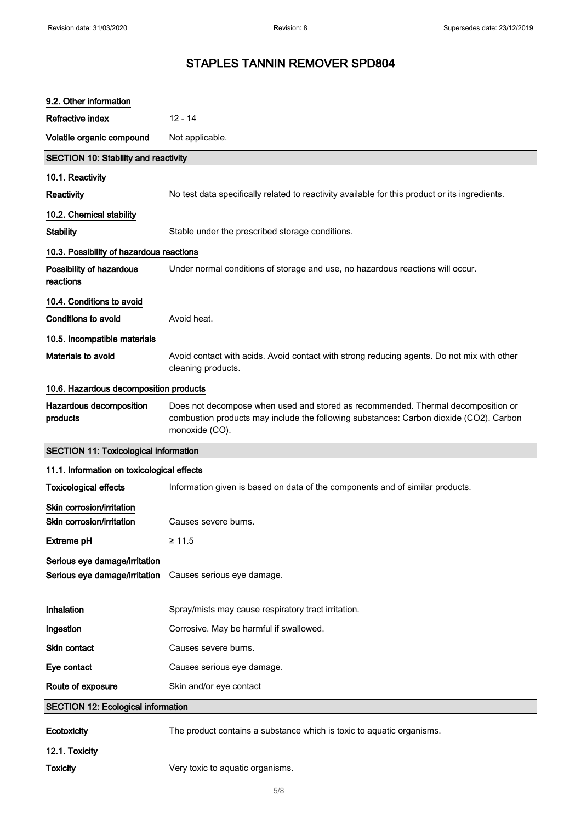| 9.2. Other information                                         |                                                                                                                                                                                              |  |
|----------------------------------------------------------------|----------------------------------------------------------------------------------------------------------------------------------------------------------------------------------------------|--|
| Refractive index                                               | $12 - 14$                                                                                                                                                                                    |  |
| Volatile organic compound                                      | Not applicable.                                                                                                                                                                              |  |
| <b>SECTION 10: Stability and reactivity</b>                    |                                                                                                                                                                                              |  |
| 10.1. Reactivity                                               |                                                                                                                                                                                              |  |
| Reactivity                                                     | No test data specifically related to reactivity available for this product or its ingredients.                                                                                               |  |
| 10.2. Chemical stability                                       |                                                                                                                                                                                              |  |
| <b>Stability</b>                                               | Stable under the prescribed storage conditions.                                                                                                                                              |  |
| 10.3. Possibility of hazardous reactions                       |                                                                                                                                                                                              |  |
| Possibility of hazardous<br>reactions                          | Under normal conditions of storage and use, no hazardous reactions will occur.                                                                                                               |  |
| 10.4. Conditions to avoid                                      |                                                                                                                                                                                              |  |
| <b>Conditions to avoid</b>                                     | Avoid heat.                                                                                                                                                                                  |  |
| 10.5. Incompatible materials                                   |                                                                                                                                                                                              |  |
| Materials to avoid                                             | Avoid contact with acids. Avoid contact with strong reducing agents. Do not mix with other<br>cleaning products.                                                                             |  |
| 10.6. Hazardous decomposition products                         |                                                                                                                                                                                              |  |
| Hazardous decomposition<br>products                            | Does not decompose when used and stored as recommended. Thermal decomposition or<br>combustion products may include the following substances: Carbon dioxide (CO2). Carbon<br>monoxide (CO). |  |
|                                                                |                                                                                                                                                                                              |  |
| <b>SECTION 11: Toxicological information</b>                   |                                                                                                                                                                                              |  |
| 11.1. Information on toxicological effects                     |                                                                                                                                                                                              |  |
| <b>Toxicological effects</b>                                   | Information given is based on data of the components and of similar products.                                                                                                                |  |
| Skin corrosion/irritation                                      |                                                                                                                                                                                              |  |
| Skin corrosion/irritation                                      | Causes severe burns.                                                                                                                                                                         |  |
| <b>Extreme pH</b>                                              | $\geq 11.5$                                                                                                                                                                                  |  |
| Serious eye damage/irritation<br>Serious eye damage/irritation | Causes serious eye damage.                                                                                                                                                                   |  |
| Inhalation                                                     | Spray/mists may cause respiratory tract irritation.                                                                                                                                          |  |
| Ingestion                                                      | Corrosive. May be harmful if swallowed.                                                                                                                                                      |  |
| Skin contact                                                   | Causes severe burns.                                                                                                                                                                         |  |
| Eye contact                                                    | Causes serious eye damage.                                                                                                                                                                   |  |
| Route of exposure                                              | Skin and/or eye contact                                                                                                                                                                      |  |
| <b>SECTION 12: Ecological information</b>                      |                                                                                                                                                                                              |  |
| Ecotoxicity                                                    | The product contains a substance which is toxic to aquatic organisms.                                                                                                                        |  |
| 12.1. Toxicity                                                 |                                                                                                                                                                                              |  |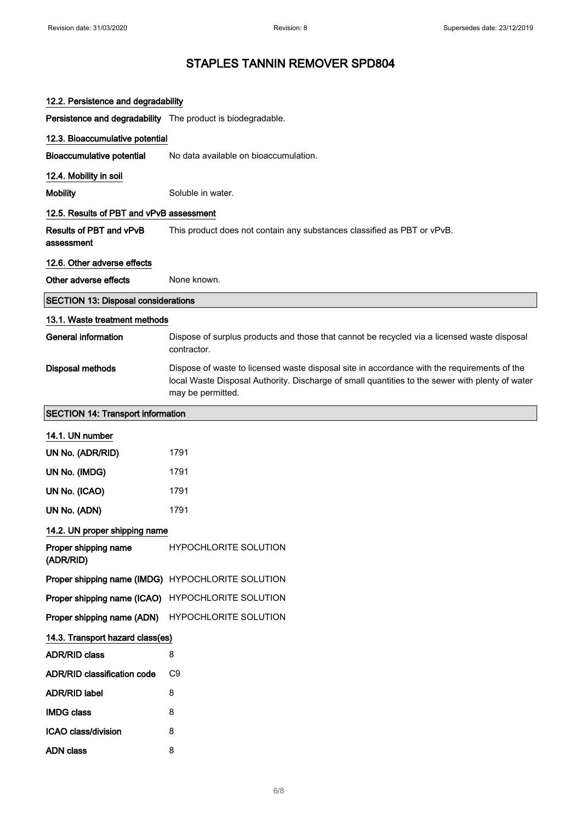| 12.2. Persistence and degradability                         |                                                                                                                                                                                                                     |
|-------------------------------------------------------------|---------------------------------------------------------------------------------------------------------------------------------------------------------------------------------------------------------------------|
| Persistence and degradability The product is biodegradable. |                                                                                                                                                                                                                     |
| 12.3. Bioaccumulative potential                             |                                                                                                                                                                                                                     |
| <b>Bioaccumulative potential</b>                            | No data available on bioaccumulation.                                                                                                                                                                               |
| 12.4. Mobility in soil                                      |                                                                                                                                                                                                                     |
| <b>Mobility</b>                                             | Soluble in water.                                                                                                                                                                                                   |
| 12.5. Results of PBT and vPvB assessment                    |                                                                                                                                                                                                                     |
| <b>Results of PBT and vPvB</b><br>assessment                | This product does not contain any substances classified as PBT or vPvB.                                                                                                                                             |
| 12.6. Other adverse effects                                 |                                                                                                                                                                                                                     |
| Other adverse effects                                       | None known.                                                                                                                                                                                                         |
| <b>SECTION 13: Disposal considerations</b>                  |                                                                                                                                                                                                                     |
| 13.1. Waste treatment methods                               |                                                                                                                                                                                                                     |
| <b>General information</b>                                  | Dispose of surplus products and those that cannot be recycled via a licensed waste disposal<br>contractor.                                                                                                          |
| <b>Disposal methods</b>                                     | Dispose of waste to licensed waste disposal site in accordance with the requirements of the<br>local Waste Disposal Authority. Discharge of small quantities to the sewer with plenty of water<br>may be permitted. |
| <b>SECTION 14: Transport information</b>                    |                                                                                                                                                                                                                     |
| 14.1. UN number                                             |                                                                                                                                                                                                                     |
| UN No. (ADR/RID)                                            | 1791                                                                                                                                                                                                                |
| UN No. (IMDG)                                               | 1791                                                                                                                                                                                                                |
| UN No. (ICAO)                                               | 1791                                                                                                                                                                                                                |
| UN No. (ADN)                                                | 1791                                                                                                                                                                                                                |
| 14.2. UN proper shipping name                               |                                                                                                                                                                                                                     |
| Proper shipping name<br>(ADR/RID)                           | <b>HYPOCHLORITE SOLUTION</b>                                                                                                                                                                                        |
|                                                             | Proper shipping name (IMDG) HYPOCHLORITE SOLUTION                                                                                                                                                                   |
|                                                             | Proper shipping name (ICAO) HYPOCHLORITE SOLUTION                                                                                                                                                                   |
| Proper shipping name (ADN)                                  | HYPOCHLORITE SOLUTION                                                                                                                                                                                               |
| 14.3. Transport hazard class(es)                            |                                                                                                                                                                                                                     |
| <b>ADR/RID class</b>                                        | 8                                                                                                                                                                                                                   |
| <b>ADR/RID classification code</b>                          | C <sub>9</sub>                                                                                                                                                                                                      |
| <b>ADR/RID label</b>                                        | 8                                                                                                                                                                                                                   |
| <b>IMDG class</b>                                           | 8                                                                                                                                                                                                                   |
| ICAO class/division                                         | 8                                                                                                                                                                                                                   |
| <b>ADN class</b>                                            | 8                                                                                                                                                                                                                   |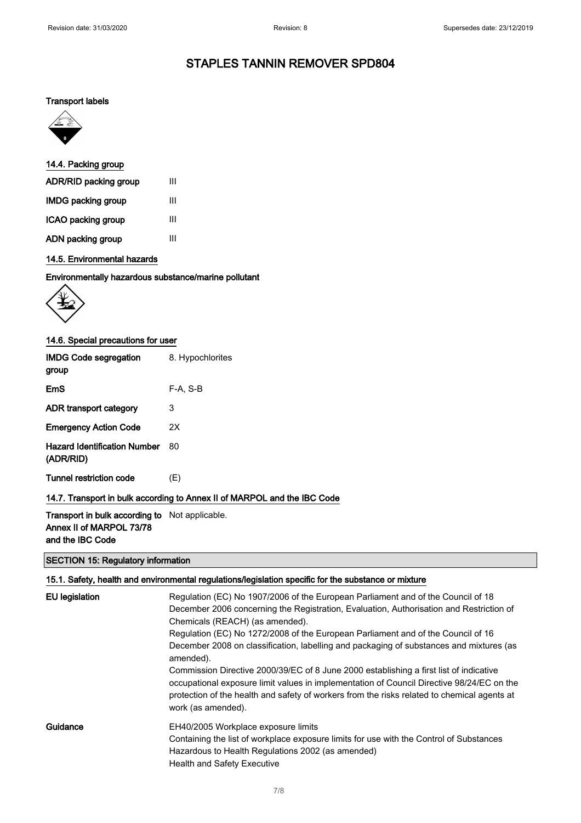#### Transport labels



#### 14.4. Packing group

| ADR/RID packing group     | Ш |
|---------------------------|---|
| <b>IMDG packing group</b> | Ш |
| ICAO packing group        | Ш |
| ADN packing group         | Ш |

#### 14.5. Environmental hazards

#### Environmentally hazardous substance/marine pollutant



#### 14.6. Special precautions for user

| <b>IMDG Code segregation</b><br>group            | 8. Hypochlorites                                                         |
|--------------------------------------------------|--------------------------------------------------------------------------|
| EmS                                              | F-A, S-B                                                                 |
| ADR transport category                           | 3                                                                        |
| <b>Emergency Action Code</b>                     | 2X                                                                       |
| <b>Hazard Identification Number</b><br>(ADR/RID) | 80                                                                       |
| Tunnel restriction code                          | (E)                                                                      |
|                                                  | 14.7. Transport in bulk according to Annex II of MARPOL and the IBC Code |

#### Transport in bulk according to Not applicable. Annex II of MARPOL 73/78 and the IBC Code

#### SECTION 15: Regulatory information

#### 15.1. Safety, health and environmental regulations/legislation specific for the substance or mixture EU legislation Regulation (EC) No 1907/2006 of the European Parliament and of the Council of 18 December 2006 concerning the Registration, Evaluation, Authorisation and Restriction of Chemicals (REACH) (as amended). Regulation (EC) No 1272/2008 of the European Parliament and of the Council of 16 December 2008 on classification, labelling and packaging of substances and mixtures (as amended). Commission Directive 2000/39/EC of 8 June 2000 establishing a first list of indicative occupational exposure limit values in implementation of Council Directive 98/24/EC on the protection of the health and safety of workers from the risks related to chemical agents at work (as amended). Guidance EH40/2005 Workplace exposure limits Containing the list of workplace exposure limits for use with the Control of Substances Hazardous to Health Regulations 2002 (as amended) Health and Safety Executive